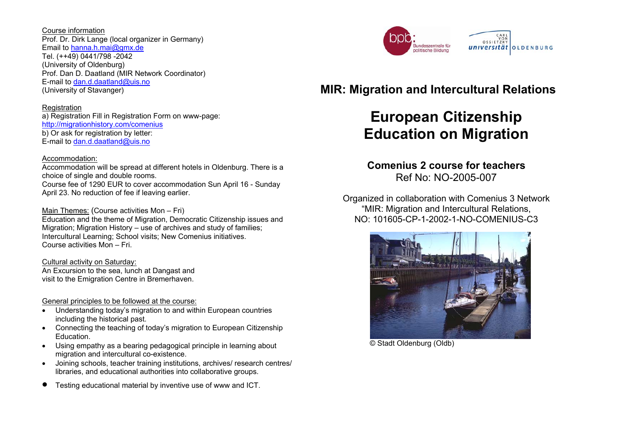Course information Prof. Dr. Dirk Lange (local organizer in Germany) Email to [hanna.h.mai@gmx.de](mailto:hanna.h.mai@gmx.de) Tel. (++49) 0441/798 -2042 (University of Oldenburg) Prof. Dan D. Daatland (MIR Network Coordinator) E-mail to [dan.d.daatland@uis.no](mailto:dan.d.daatland@uis.no) (University of Stavanger)

#### Registration

a) Registration Fill in Registration Form on www-page: <http://migrationhistory.com/comenius> b) Or ask for registration by letter: E-mail to [dan.d.daatland@uis.no](mailto:dan.d.daatland@uis.no)

# Accommodation:

Accommodation will be spread at different hotels in Oldenburg. There is a choice of single and double rooms. Course fee of 1290 EUR to cover accommodation Sun April 16 - Sunday April 23. No reduction of fee if leaving earlier.

# Main Themes: (Course activities Mon – Fri)

Education and the theme of Migration, Democratic Citizenship issues and Migration; Migration History – use of archives and study of families; Intercultural Learning; School visits; New Comenius initiatives. Course activities Mon – Fri.

# Cultural activity on Saturday:

An Excursion to the sea, lunch at Dangast and visit to the Emigration Centre in Bremerhaven.

# General principles to be followed at the course:

- Understanding today's migration to and within European countries including the historical past.
- Connecting the teaching of today's migration to European Citizenship Education.
- Using empathy as a bearing pedagogical principle in learning about migration and intercultural co-existence.
- Joining schools, teacher training institutions, archives/ research centres/ libraries, and educational authorities into collaborative groups.
- Testing educational material by inventive use of www and ICT.

# **MIR: Migration and Intercultural Relations**

# **European Citizenship Education on Migration**

# **Comenius 2 course for teachers** Ref No: NO-2005-007

Organized in collaboration with Comenius 3 Network "MIR: Migration and Intercultural Relations, NO: 101605-CP-1-2002-1-NO-COMENIUS-C3



© Stadt Oldenburg (Oldb)